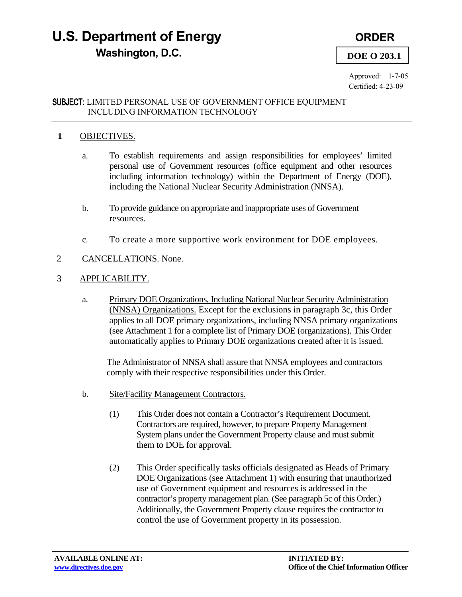# **U.S. Department of Energy ORDER Washington, D.C. DOE O 203.1**

Approved: 1-7-05 Certified: 4-23-09

### SUBJECT: LIMITED PERSONAL USE OF GOVERNMENT OFFICE EQUIPMENT INCLUDING INFORMATION TECHNOLOGY

# **1.** OBJECTIVES.

- a. To establish requirements and assign responsibilities for employees' limited personal use of Government resources (office equipment and other resources including information technology) within the Department of Energy (DOE), including the National Nuclear Security Administration (NNSA).
- b. To provide guidance on appropriate and inappropriate uses of Government resources.
- c. To create a more supportive work environment for DOE employees.
- 2. CANCELLATIONS. None.
- 3. APPLICABILITY.
	- a. Primary DOE Organizations, Including National Nuclear Security Administration (NNSA) Organizations. Except for the exclusions in paragraph 3c, this Order applies to all DOE primary organizations, including NNSA primary organizations (see Attachment 1 for a complete list of Primary DOE (organizations). This Order automatically applies to Primary DOE organizations created after it is issued.

The Administrator of NNSA shall assure that NNSA employees and contractors comply with their respective responsibilities under this Order.

- b. Site/Facility Management Contractors.
	- (1) This Order does not contain a Contractor's Requirement Document. Contractors are required, however, to prepare Property Management System plans under the Government Property clause and must submit them to DOE for approval.
	- (2) This Order specifically tasks officials designated as Heads of Primary DOE Organizations (see Attachment 1) with ensuring that unauthorized use of Government equipment and resources is addressed in the contractor's property management plan. (See paragraph 5c of this Order.) Additionally, the Government Property clause requires the contractor to control the use of Government property in its possession.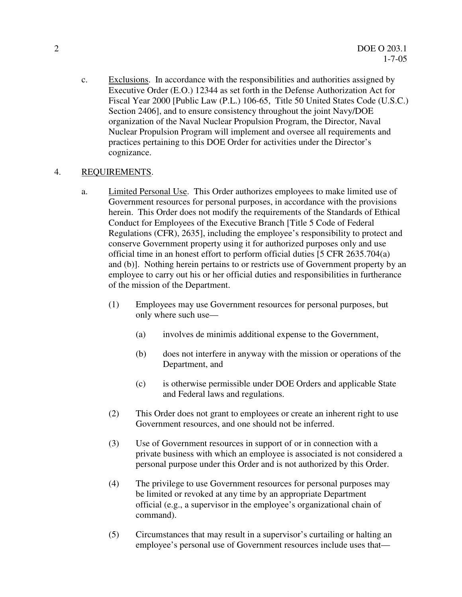c. Exclusions. In accordance with the responsibilities and authorities assigned by Executive Order (E.O.) 12344 as set forth in the Defense Authorization Act for Fiscal Year 2000 [Public Law (P.L.) 106-65, Title 50 United States Code (U.S.C.) Section 2406], and to ensure consistency throughout the joint Navy/DOE organization of the Naval Nuclear Propulsion Program, the Director, Naval Nuclear Propulsion Program will implement and oversee all requirements and practices pertaining to this DOE Order for activities under the Director's cognizance.

### 4. REQUIREMENTS.

- a. **Limited Personal Use.** This Order authorizes employees to make limited use of Government resources for personal purposes, in accordance with the provisions herein. This Order does not modify the requirements of the Standards of Ethical Conduct for Employees of the Executive Branch [Title 5 Code of Federal Regulations (CFR), 2635], including the employee's responsibility to protect and conserve Government property using it for authorized purposes only and use official time in an honest effort to perform official duties [5 CFR 2635.704(a) and (b)]. Nothing herein pertains to or restricts use of Government property by an employee to carry out his or her official duties and responsibilities in furtherance of the mission of the Department.
	- (1) Employees may use Government resources for personal purposes, but only where such use—
		- (a) involves de minimis additional expense to the Government,
		- (b) does not interfere in anyway with the mission or operations of the Department, and
		- (c) is otherwise permissible under DOE Orders and applicable State and Federal laws and regulations.
	- (2) This Order does not grant to employees or create an inherent right to use Government resources, and one should not be inferred.
	- (3) Use of Government resources in support of or in connection with a private business with which an employee is associated is not considered a personal purpose under this Order and is not authorized by this Order.
	- (4) The privilege to use Government resources for personal purposes may be limited or revoked at any time by an appropriate Department official (e.g., a supervisor in the employee's organizational chain of command).
	- (5) Circumstances that may result in a supervisor's curtailing or halting an employee's personal use of Government resources include uses that—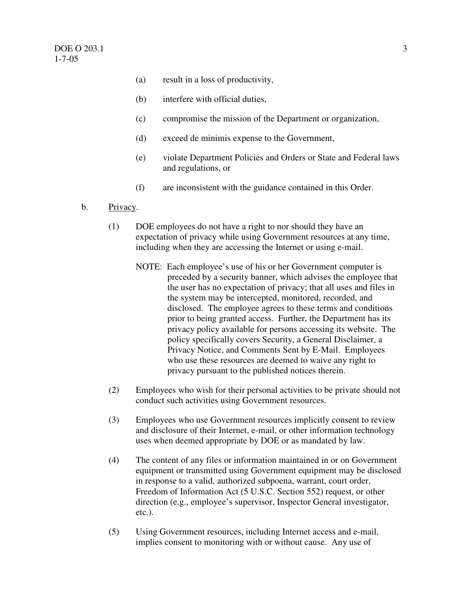- (a) result in a loss of productivity,
- (b) interfere with official duties,
- (c) compromise the mission of the Department or organization,
- (d) exceed de minimis expense to the Government,
- (e) violate Department Policies and Orders or State and Federal laws and regulations, or
- (f) are inconsistent with the guidance contained in this Order.
- b. Privacy.
	- (1) DOE employees do not have a right to nor should they have an expectation of privacy while using Government resources at any time, including when they are accessing the Internet or using e-mail.
		- NOTE: Each employee's use of his or her Government computer is preceded by a security banner, which advises the employee that the user has no expectation of privacy; that all uses and files in the system may be intercepted, monitored, recorded, and disclosed. The employee agrees to these terms and conditions prior to being granted access. Further, the Department has its privacy policy available for persons accessing its website. The policy specifically covers Security, a General Disclaimer, a Privacy Notice, and Comments Sent by E-Mail. Employees who use these resources are deemed to waive any right to privacy pursuant to the published notices therein.
	- (2) Employees who wish for their personal activities to be private should not conduct such activities using Government resources.
	- (3) Employees who use Government resources implicitly consent to review and disclosure of their Internet, e-mail, or other information technology uses when deemed appropriate by DOE or as mandated by law.
	- (4) The content of any files or information maintained in or on Government equipment or transmitted using Government equipment may be disclosed in response to a valid, authorized subpoena, warrant, court order, Freedom of Information Act (5 U.S.C. Section 552) request, or other direction (e.g., employee's supervisor, Inspector General investigator,  $etc.$ ). etc.). (5) Using Government resources, including Internet access and e-mail,
	- implies consent to monitoring with or without cause. Any use of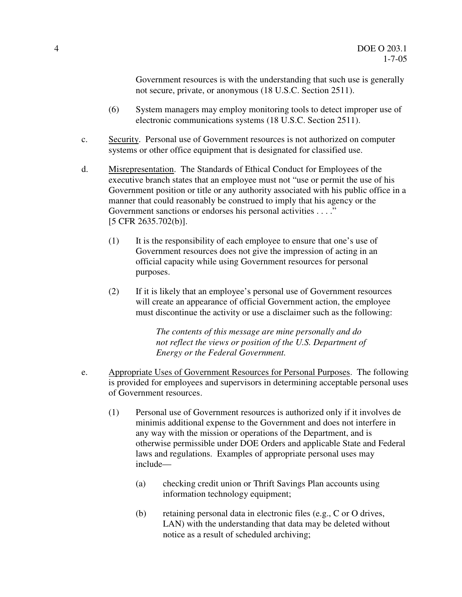Government resources is with the understanding that such use is generally not secure, private, or anonymous (18 U.S.C. Section 2511).

- (6) System managers may employ monitoring tools to detect improper use of electronic communications systems (18 U.S.C. Section 2511).
- c. Security. Personal use of Government resources is not authorized on computer systems or other office equipment that is designated for classified use.
- d. Misrepresentation. The Standards of Ethical Conduct for Employees of the executive branch states that an employee must not "use or permit the use of his Government position or title or any authority associated with his public office in a manner that could reasonably be construed to imply that his agency or the Government sanctions or endorses his personal activities . . . ." [5 CFR 2635.702(b)].
	- (1) It is the responsibility of each employee to ensure that one's use of Government resources does not give the impression of acting in an official capacity while using Government resources for personal purposes.
	- (2) If it is likely that an employee's personal use of Government resources will create an appearance of official Government action, the employee must discontinue the activity or use a disclaimer such as the following:

 *The contents of this message are mine personally and do not reflect the views or position of the U.S. Department of Energy or the Federal Government.* 

- e. Appropriate Uses of Government Resources for Personal Purposes. The following is provided for employees and supervisors in determining acceptable personal uses of Government resources.
	- (1) Personal use of Government resources is authorized only if it involves de minimis additional expense to the Government and does not interfere in any way with the mission or operations of the Department, and is otherwise permissible under DOE Orders and applicable State and Federal laws and regulations. Examples of appropriate personal uses may include—
		- (a) checking credit union or Thrift Savings Plan accounts using information technology equipment;
		- (b) retaining personal data in electronic files (e.g., C or O drives, LAN) with the understanding that data may be deleted without notice as a result of scheduled archiving;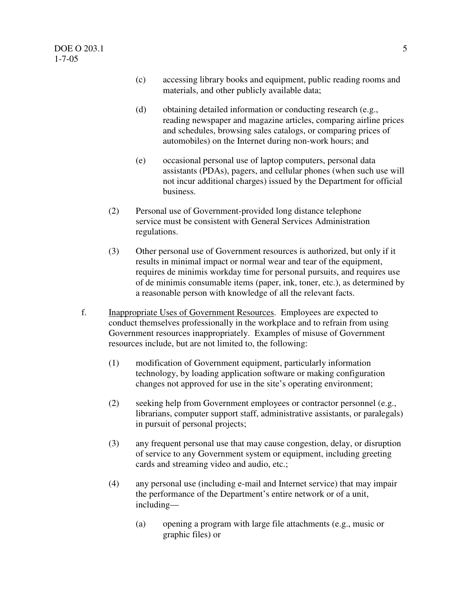- (c) accessing library books and equipment, public reading rooms and materials, and other publicly available data;
- (d) obtaining detailed information or conducting research (e.g., reading newspaper and magazine articles, comparing airline prices and schedules, browsing sales catalogs, or comparing prices of automobiles) on the Internet during non-work hours; and
- (e) occasional personal use of laptop computers, personal data assistants (PDAs), pagers, and cellular phones (when such use will not incur additional charges) issued by the Department for official business.
- business.<br>
(2) Personal use of Government-provided long distance telephone service must be consistent with General Services Administration regulations.
- (3) Other personal use of Government resources is authorized, but only if it results in minimal impact or normal wear and tear of the equipment, requires de minimis workday time for personal pursuits, and requires use of de minimis consumable items (paper, ink, toner, etc.), as determined by a reasonable person with knowledge of all the relevant facts.
- f. **Inappropriate Uses of Government Resources.** Employees are expected to conduct themselves professionally in the workplace and to refrain from using Government resources inappropriately. Examples of misuse of Government resources include, but are not limited to, the following:
	- (1) modification of Government equipment, particularly information technology, by loading application software or making configuration changes not approved for use in the site's operating environment;
	- (2) seeking help from Government employees or contractor personnel (e.g., librarians, computer support staff, administrative assistants, or paralegals) in pursuit of personal projects;
	- (3) any frequent personal use that may cause congestion, delay, or disruption of service to any Government system or equipment, including greeting cards and streaming video and audio, etc.;
	- (4) any personal use (including e-mail and Internet service) that may impair the performance of the Department's entire network or of a unit, including
		- including—<br>(a) opening a program with large file attachments (e.g., music or graphic files) or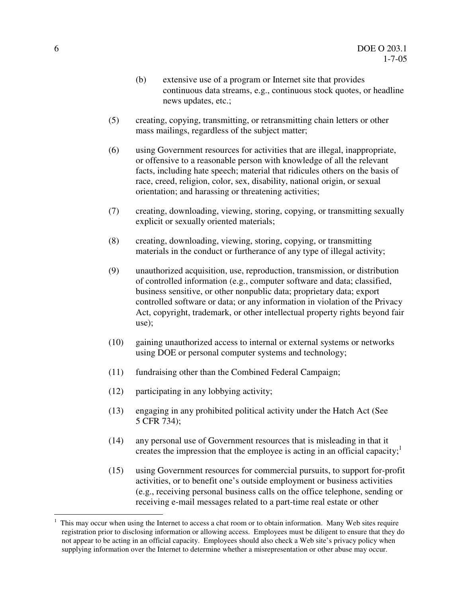- (b) extensive use of a program or Internet site that provides continuous data streams, e.g., continuous stock quotes, or headline news updates, etc.;
- (5) creating, copying, transmitting, or retransmitting chain letters or other mass mailings, regardless of the subject matter;
- (6) using Government resources for activities that are illegal, inappropriate, or offensive to a reasonable person with knowledge of all the relevant facts, including hate speech; material that ridicules others on the basis of race, creed, religion, color, sex, disability, national origin, or sexual orientation; and harassing or threatening activities;
- (7) creating, downloading, viewing, storing, copying, or transmitting sexually explicit or sexually oriented materials;
- (8) creating, downloading, viewing, storing, copying, or transmitting materials in the conduct or furtherance of any type of illegal activity;
- (9) unauthorized acquisition, use, reproduction, transmission, or distribution of controlled information (e.g., computer software and data; classified, business sensitive, or other nonpublic data; proprietary data; export controlled software or data; or any information in violation of the Privacy Act, copyright, trademark, or other intellectual property rights beyond fair use);
- (10) gaining unauthorized access to internal or external systems or networks using DOE or personal computer systems and technology;
- (11) fundraising other than the Combined Federal Campaign;
- (12) participating in any lobbying activity;
- (13) engaging in any prohibited political activity under the Hatch Act (See 5 CFR 734);
- (14) any personal use of Government resources that is misleading in that it creates the impression that the employee is acting in an official capacity;<sup>1</sup>
- (15) using Government resources for commercial pursuits, to support for-profit activities, or to benefit one's outside employment or business activities (e.g., receiving personal business calls on the office telephone, sending or receiving e-mail messages related to a part-time real estate or other

 $\overline{a}$ 

 registration prior to disclosing information or allowing access. Employees must be diligent to ensure that they do not appear to be acting in an official capacity. Employees should also check a Web site's privacy policy when supplying information over the Internet to determine whether a misrepresentation or other abuse may occur. This may occur when using the Internet to access a chat room or to obtain information. Many Web sites require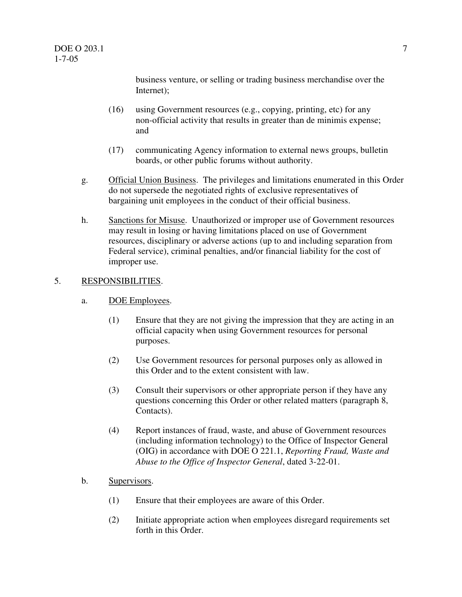$DOE O 203.1$   $7$ 1-7-05

> business venture, or selling or trading business merchandise over the Internet);

- Internet);<br>(16) using Government resources (e.g., copying, printing, etc) for any non-official activity that results in greater than de minimis expense; and
- and<br>(17) communicating Agency information to external news groups, bulletin boards, or other public forums without authority.
- g. **Official Union Business.** The privileges and limitations enumerated in this Order do not supersede the negotiated rights of exclusive representatives of bargaining unit employees in the conduct of their official business.
- h. Sanctions for Misuse. Unauthorized or improper use of Government resources may result in losing or having limitations placed on use of Government resources, disciplinary or adverse actions (up to and including separation from Federal service), criminal penalties, and/or financial liability for the cost of improper use.

#### 5. RESPONSIBILITIES.

- a. DOE Employees.
	- (1) Ensure that they are not giving the impression that they are acting in an official capacity when using Government resources for personal purposes.
	- purposes.<br>
	(2) Use Government resources for personal purposes only as allowed in this Order and to the extent consistent with law.
	- (3) Consult their supervisors or other appropriate person if they have any questions concerning this Order or other related matters (paragraph 8, Contacts).
	- Contacts).<br>
	(4) Report instances of fraud, waste, and abuse of Government resources (including information technology) to the Office of Inspector General (OIG) in accordance with DOE O 221.1, *Reporting Fraud, Waste and Abuse to the Office of Inspector General*, dated 3-22-01.
- Supervisors.
- b. Supervisors.<br>
(1) Ensure that their employees are aware of this Order.
	- (2) Initiate appropriate action when employees disregard requirements set forth in this Order.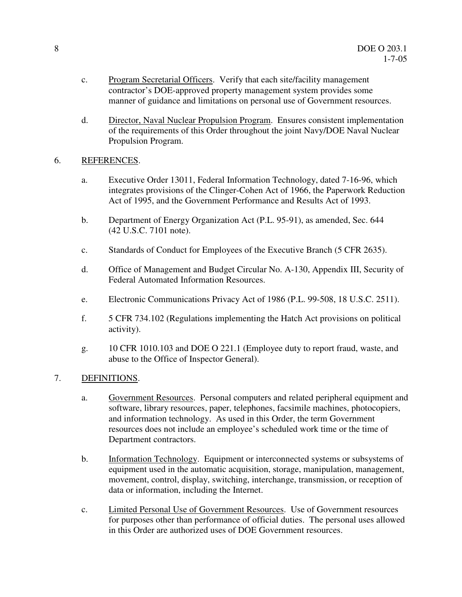- c. Program Secretarial Officers. Verify that each site/facility management contractor's DOE-approved property management system provides some manner of guidance and limitations on personal use of Government resources.
- d. Director, Naval Nuclear Propulsion Program. Ensures consistent implementation of the requirements of this Order throughout the joint Navy/DOE Naval Nuclear Propulsion Program.

# 6. REFERENCES.

- a. Executive Order 13011, Federal Information Technology, dated 7-16-96, which integrates provisions of the Clinger-Cohen Act of 1966, the Paperwork Reduction Act of 1995, and the Government Performance and Results Act of 1993.
- b. Department of Energy Organization Act (P.L. 95-91), as amended, Sec. 644 (42 U.S.C. 7101 note).
- c. Standards of Conduct for Employees of the Executive Branch (5 CFR 2635).
- d. Office of Management and Budget Circular No. A-130, Appendix III, Security of Federal Automated Information Resources.
- e. Electronic Communications Privacy Act of 1986 (P.L. 99-508, 18 U.S.C. 2511).
- f. 5 CFR 734.102 (Regulations implementing the Hatch Act provisions on political activity).
- activity).<br>g. 10 CFR 1010.103 and DOE O 221.1 (Employee duty to report fraud, waste, and abuse to the Office of Inspector General).

# 7. DEFINITIONS.

- a. Government Resources. Personal computers and related peripheral equipment and software, library resources, paper, telephones, facsimile machines, photocopiers, and information technology. As used in this Order, the term Government resources does not include an employee's scheduled work time or the time of Department contractors.
- b. Information Technology. Equipment or interconnected systems or subsystems of equipment used in the automatic acquisition, storage, manipulation, management, movement, control, display, switching, interchange, transmission, or reception of data or information, including the Internet.
- c. **Limited Personal Use of Government Resources.** Use of Government resources for purposes other than performance of official duties. The personal uses allowed in this Order are authorized uses of DOE Government resources.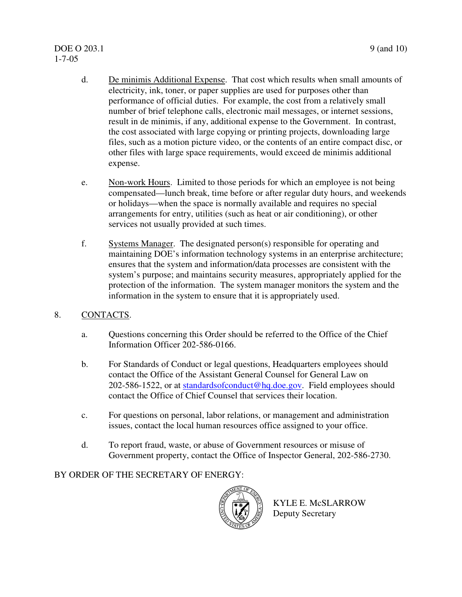# $DOE O 203.1$  9 (and 10) 1-7-05

- d. De minimis Additional Expense. That cost which results when small amounts of electricity, ink, toner, or paper supplies are used for purposes other than performance of official duties. For example, the cost from a relatively small number of brief telephone calls, electronic mail messages, or internet sessions, result in de minimis, if any, additional expense to the Government. In contrast, the cost associated with large copying or printing projects, downloading large files, such as a motion picture video, or the contents of an entire compact disc, or other files with large space requirements, would exceed de minimis additional expense.
- e. Non-work Hours. Limited to those periods for which an employee is not being compensated—lunch break, time before or after regular duty hours, and weekends or holidays—when the space is normally available and requires no special arrangements for entry, utilities (such as heat or air conditioning), or other services not usually provided at such times.
- f. Systems Manager. The designated person(s) responsible for operating and maintaining DOE's information technology systems in an enterprise architecture; ensures that the system and information/data processes are consistent with the system's purpose; and maintains security measures, appropriately applied for the protection of the information. The system manager monitors the system and the information in the system to ensure that it is appropriately used.
- 8. CONTACTS.
	- a. Questions concerning this Order should be referred to the Office of the Chief Information Officer 202-586-0166.
	- b. For Standards of Conduct or legal questions, Headquarters employees should contact the Office of the Assistant General Counsel for General Law on 202-586-1522, or at standardsofconduct@hq.doe.gov. Field employees should contact the Office of Chief Counsel that services their location.
	- c. For questions on personal, labor relations, or management and administration issues, contact the local human resources office assigned to your office.
	- d. To report fraud, waste, or abuse of Government resources or misuse of Government property, contact the Office of Inspector General, 202-586-2730.

# BY ORDER OF THE SECRETARY OF ENERGY:



 KYLE E. McSLARROW Deputy Secretary